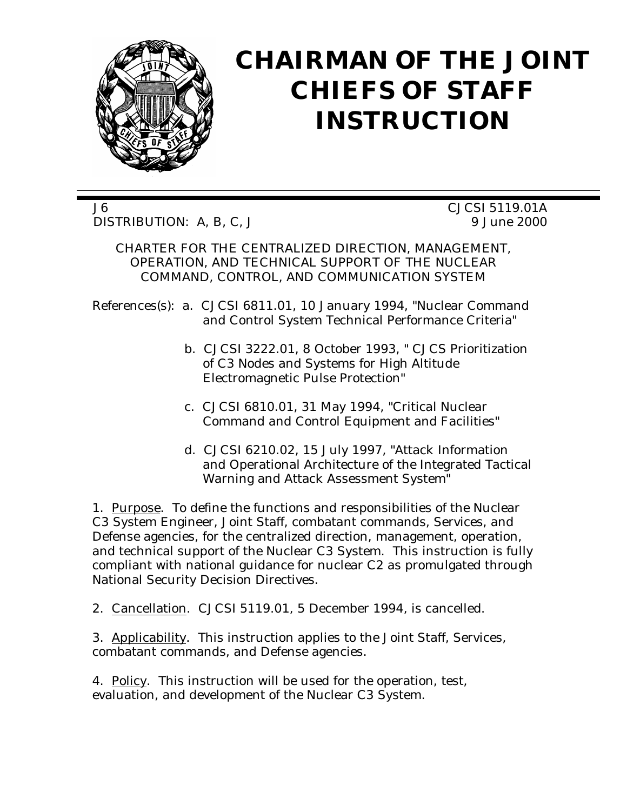

# **CHAIRMAN OF THE JOINT CHIEFS OF STAFF INSTRUCTION**

J6 CJCSI 5119.01A DISTRIBUTION: A, B, C, J 9 June 2000

CHARTER FOR THE CENTRALIZED DIRECTION, MANAGEMENT, OPERATION, AND TECHNICAL SUPPORT OF THE NUCLEAR COMMAND, CONTROL, AND COMMUNICATION SYSTEM

References(s): a. CJCSI 6811.01, 10 January 1994, "Nuclear Command and Control System Technical Performance Criteria"

- b. CJCSI 3222.01, 8 October 1993, " CJCS Prioritization of C3 Nodes and Systems for High Altitude Electromagnetic Pulse Protection"
- c. CJCSI 6810.01, 31 May 1994, "Critical Nuclear Command and Control Equipment and Facilities"
- d. CJCSI 6210.02, 15 July 1997, "Attack Information and Operational Architecture of the Integrated Tactical Warning and Attack Assessment System"

1. Purpose. To define the functions and responsibilities of the Nuclear C3 System Engineer, Joint Staff, combatant commands, Services, and Defense agencies, for the centralized direction, management, operation, and technical support of the Nuclear C3 System. This instruction is fully compliant with national guidance for nuclear C2 as promulgated through National Security Decision Directives.

2. Cancellation. CJCSI 5119.01, 5 December 1994, is cancelled.

3. Applicability. This instruction applies to the Joint Staff, Services, combatant commands, and Defense agencies.

4. Policy. This instruction will be used for the operation, test, evaluation, and development of the Nuclear C3 System.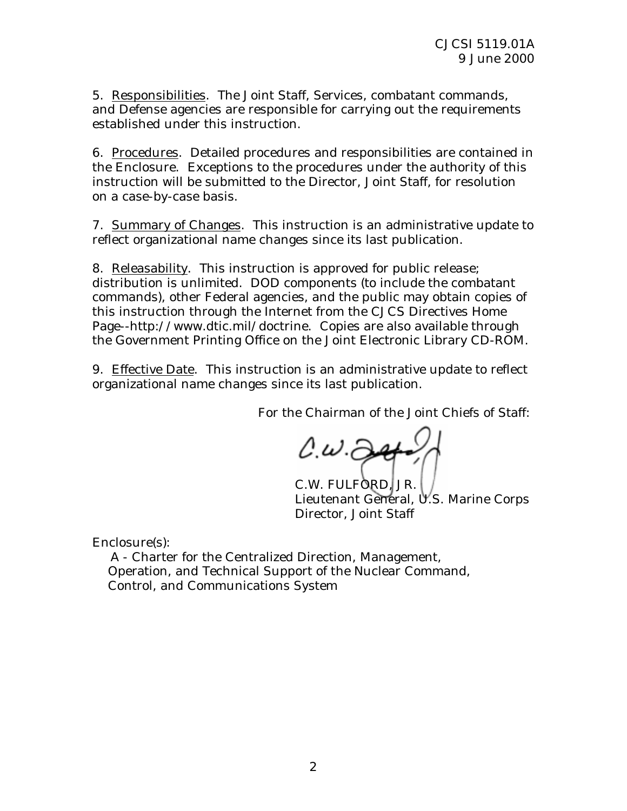5. Responsibilities. The Joint Staff, Services, combatant commands, and Defense agencies are responsible for carrying out the requirements established under this instruction.

6. Procedures. Detailed procedures and responsibilities are contained in the Enclosure. Exceptions to the procedures under the authority of this instruction will be submitted to the Director, Joint Staff, for resolution on a case-by-case basis.

7. Summary of Changes. This instruction is an administrative update to reflect organizational name changes since its last publication.

8. Releasability. This instruction is approved for public release; distribution is unlimited. DOD components (to include the combatant commands), other Federal agencies, and the public may obtain copies of this instruction through the Internet from the CJCS Directives Home Page--http://www.dtic.mil/doctrine. Copies are also available through the Government Printing Office on the Joint Electronic Library CD-ROM.

9. Effective Date. This instruction is an administrative update to reflect organizational name changes since its last publication.

For the Chairman of the Joint Chiefs of Staff:

 $0. \omega .$  24

C.W. FULFORD, JR. Lieutenant General, U.S. Marine Corps Director, Joint Staff

Enclosure(s):

 A - Charter for the Centralized Direction, Management, Operation, and Technical Support of the Nuclear Command, Control, and Communications System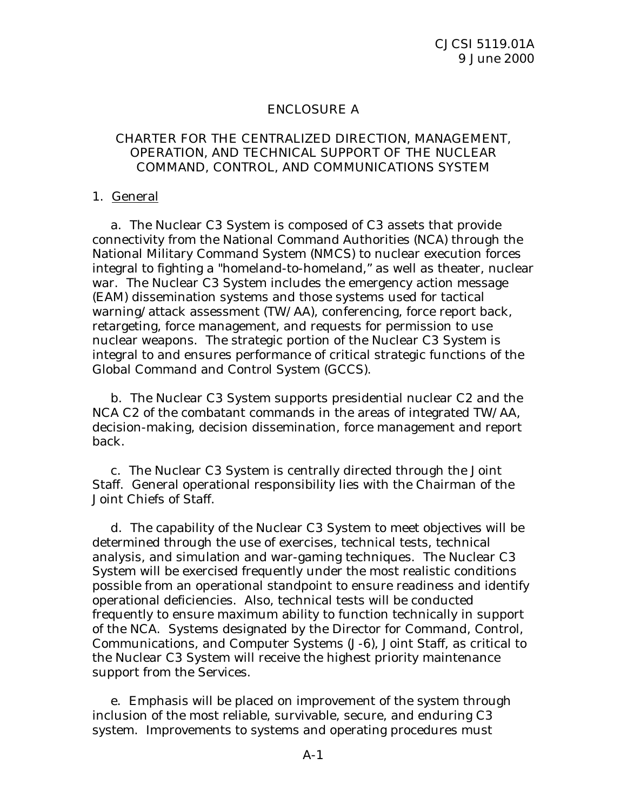### ENCLOSURE A

#### CHARTER FOR THE CENTRALIZED DIRECTION, MANAGEMENT, OPERATION, AND TECHNICAL SUPPORT OF THE NUCLEAR COMMAND, CONTROL, AND COMMUNICATIONS SYSTEM

#### 1. General

 a. The Nuclear C3 System is composed of C3 assets that provide connectivity from the National Command Authorities (NCA) through the National Military Command System (NMCS) to nuclear execution forces integral to fighting a "homeland-to-homeland," as well as theater, nuclear war. The Nuclear C3 System includes the emergency action message (EAM) dissemination systems and those systems used for tactical warning/attack assessment (TW/AA), conferencing, force report back, retargeting, force management, and requests for permission to use nuclear weapons. The strategic portion of the Nuclear C3 System is integral to and ensures performance of critical strategic functions of the Global Command and Control System (GCCS).

 b. The Nuclear C3 System supports presidential nuclear C2 and the NCA C2 of the combatant commands in the areas of integrated TW/AA, decision-making, decision dissemination, force management and report back.

 c. The Nuclear C3 System is centrally directed through the Joint Staff. General operational responsibility lies with the Chairman of the Joint Chiefs of Staff.

 d. The capability of the Nuclear C3 System to meet objectives will be determined through the use of exercises, technical tests, technical analysis, and simulation and war-gaming techniques. The Nuclear C3 System will be exercised frequently under the most realistic conditions possible from an operational standpoint to ensure readiness and identify operational deficiencies. Also, technical tests will be conducted frequently to ensure maximum ability to function technically in support of the NCA. Systems designated by the Director for Command, Control, Communications, and Computer Systems (J-6), Joint Staff, as critical to the Nuclear C3 System will receive the highest priority maintenance support from the Services.

 e. Emphasis will be placed on improvement of the system through inclusion of the most reliable, survivable, secure, and enduring C3 system. Improvements to systems and operating procedures must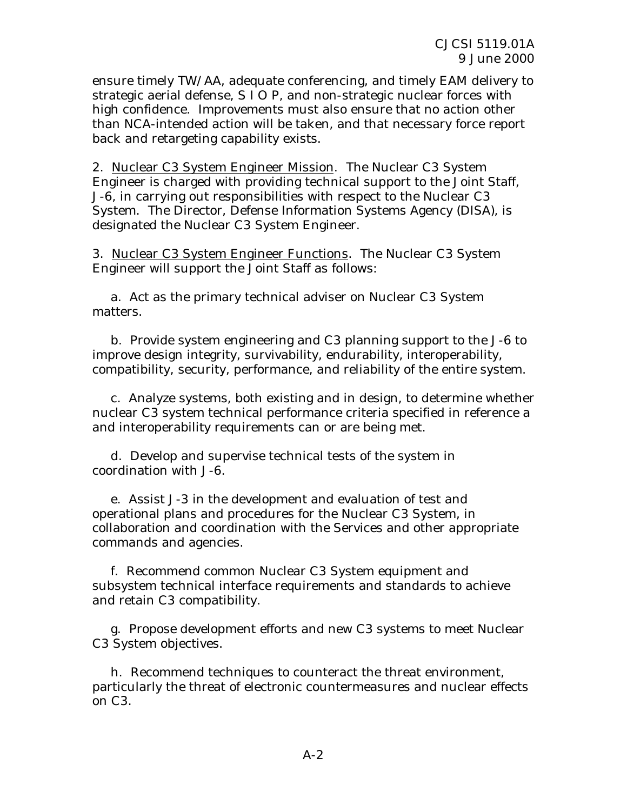ensure timely TW/AA, adequate conferencing, and timely EAM delivery to strategic aerial defense, S I O P, and non-strategic nuclear forces with high confidence. Improvements must also ensure that no action other than NCA-intended action will be taken, and that necessary force report back and retargeting capability exists.

2. Nuclear C3 System Engineer Mission. The Nuclear C3 System Engineer is charged with providing technical support to the Joint Staff, J-6, in carrying out responsibilities with respect to the Nuclear C3 System. The Director, Defense Information Systems Agency (DISA), is designated the Nuclear C3 System Engineer.

3. Nuclear C3 System Engineer Functions. The Nuclear C3 System Engineer will support the Joint Staff as follows:

 a. Act as the primary technical adviser on Nuclear C3 System matters.

 b. Provide system engineering and C3 planning support to the J-6 to improve design integrity, survivability, endurability, interoperability, compatibility, security, performance, and reliability of the entire system.

 c. Analyze systems, both existing and in design, to determine whether nuclear C3 system technical performance criteria specified in reference a and interoperability requirements can or are being met.

 d. Develop and supervise technical tests of the system in coordination with J-6.

 e. Assist J-3 in the development and evaluation of test and operational plans and procedures for the Nuclear C3 System, in collaboration and coordination with the Services and other appropriate commands and agencies.

 f. Recommend common Nuclear C3 System equipment and subsystem technical interface requirements and standards to achieve and retain C3 compatibility.

 g. Propose development efforts and new C3 systems to meet Nuclear C3 System objectives.

 h. Recommend techniques to counteract the threat environment, particularly the threat of electronic countermeasures and nuclear effects on C3.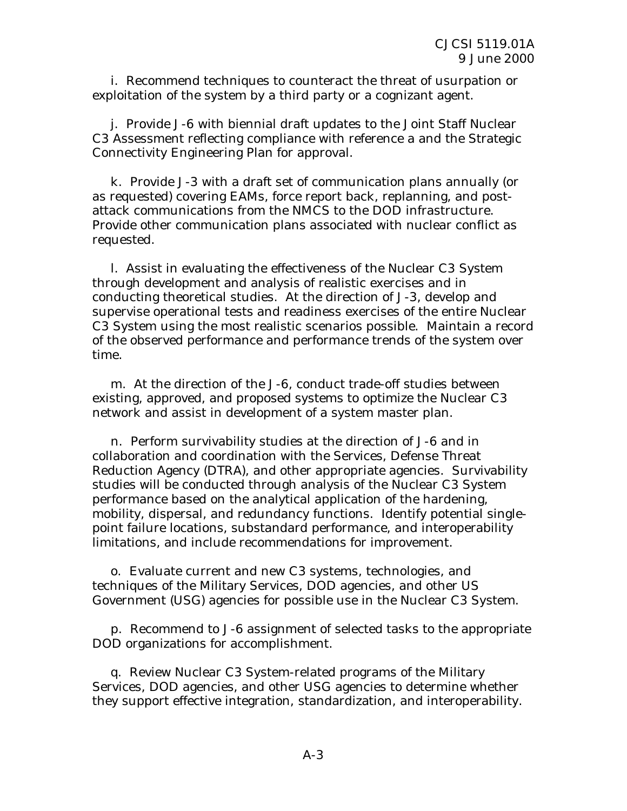i. Recommend techniques to counteract the threat of usurpation or exploitation of the system by a third party or a cognizant agent.

 j. Provide J-6 with biennial draft updates to the Joint Staff Nuclear C3 Assessment reflecting compliance with reference a and the Strategic Connectivity Engineering Plan for approval.

 k. Provide J-3 with a draft set of communication plans annually (or as requested) covering EAMs, force report back, replanning, and postattack communications from the NMCS to the DOD infrastructure. Provide other communication plans associated with nuclear conflict as requested.

 l. Assist in evaluating the effectiveness of the Nuclear C3 System through development and analysis of realistic exercises and in conducting theoretical studies. At the direction of J-3, develop and supervise operational tests and readiness exercises of the entire Nuclear C3 System using the most realistic scenarios possible. Maintain a record of the observed performance and performance trends of the system over time.

 m. At the direction of the J-6, conduct trade-off studies between existing, approved, and proposed systems to optimize the Nuclear C3 network and assist in development of a system master plan.

 n. Perform survivability studies at the direction of J-6 and in collaboration and coordination with the Services, Defense Threat Reduction Agency (DTRA), and other appropriate agencies. Survivability studies will be conducted through analysis of the Nuclear C3 System performance based on the analytical application of the hardening, mobility, dispersal, and redundancy functions. Identify potential singlepoint failure locations, substandard performance, and interoperability limitations, and include recommendations for improvement.

 o. Evaluate current and new C3 systems, technologies, and techniques of the Military Services, DOD agencies, and other US Government (USG) agencies for possible use in the Nuclear C3 System.

 p. Recommend to J-6 assignment of selected tasks to the appropriate DOD organizations for accomplishment.

 q. Review Nuclear C3 System-related programs of the Military Services, DOD agencies, and other USG agencies to determine whether they support effective integration, standardization, and interoperability.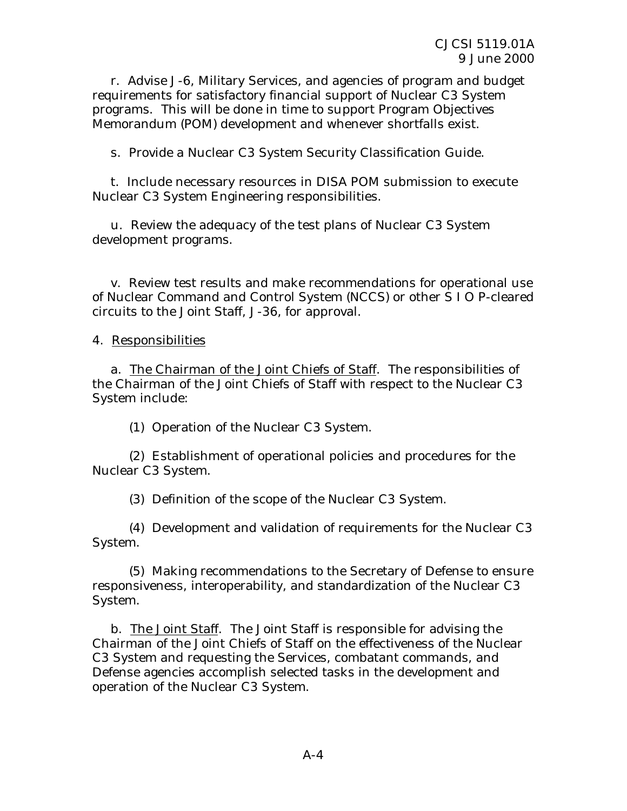r. Advise J-6, Military Services, and agencies of program and budget requirements for satisfactory financial support of Nuclear C3 System programs. This will be done in time to support Program Objectives Memorandum (POM) development and whenever shortfalls exist.

s. Provide a Nuclear C3 System Security Classification Guide.

 t. Include necessary resources in DISA POM submission to execute Nuclear C3 System Engineering responsibilities.

 u. Review the adequacy of the test plans of Nuclear C3 System development programs.

 v. Review test results and make recommendations for operational use of Nuclear Command and Control System (NCCS) or other S I O P-cleared circuits to the Joint Staff, J-36, for approval.

4. Responsibilities

a. The Chairman of the Joint Chiefs of Staff. The responsibilities of the Chairman of the Joint Chiefs of Staff with respect to the Nuclear C3 System include:

(1) Operation of the Nuclear C3 System.

(2) Establishment of operational policies and procedures for the Nuclear C3 System.

(3) Definition of the scope of the Nuclear C3 System.

 (4) Development and validation of requirements for the Nuclear C3 System.

 (5) Making recommendations to the Secretary of Defense to ensure responsiveness, interoperability, and standardization of the Nuclear C3 System.

b. The Joint Staff. The Joint Staff is responsible for advising the Chairman of the Joint Chiefs of Staff on the effectiveness of the Nuclear C3 System and requesting the Services, combatant commands, and Defense agencies accomplish selected tasks in the development and operation of the Nuclear C3 System.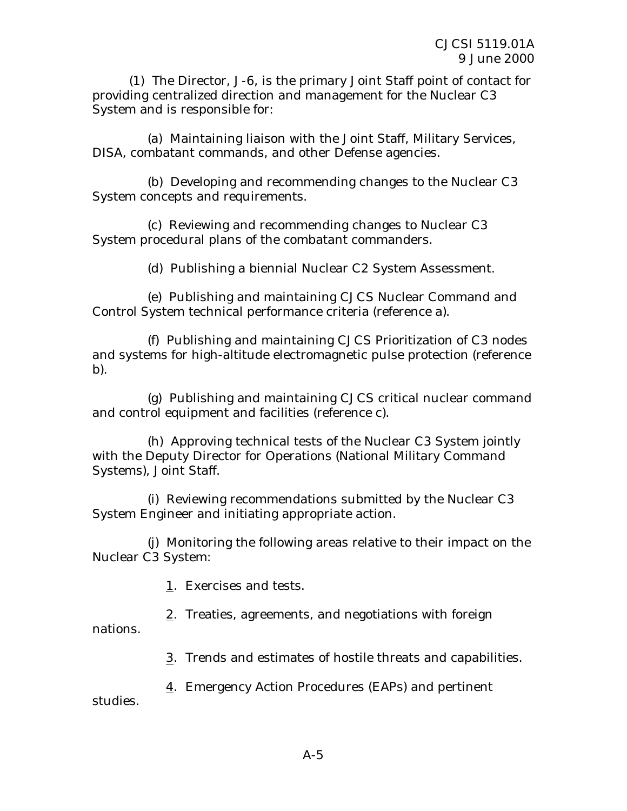(1) The Director, J-6, is the primary Joint Staff point of contact for providing centralized direction and management for the Nuclear C3 System and is responsible for:

 (a) Maintaining liaison with the Joint Staff, Military Services, DISA, combatant commands, and other Defense agencies.

 (b) Developing and recommending changes to the Nuclear C3 System concepts and requirements.

 (c) Reviewing and recommending changes to Nuclear C3 System procedural plans of the combatant commanders.

(d) Publishing a biennial Nuclear C2 System Assessment.

 (e) Publishing and maintaining CJCS Nuclear Command and Control System technical performance criteria (reference a).

 (f) Publishing and maintaining CJCS Prioritization of C3 nodes and systems for high-altitude electromagnetic pulse protection (reference b).

 (g) Publishing and maintaining CJCS critical nuclear command and control equipment and facilities (reference c).

 (h) Approving technical tests of the Nuclear C3 System jointly with the Deputy Director for Operations (National Military Command Systems), Joint Staff.

 (i) Reviewing recommendations submitted by the Nuclear C3 System Engineer and initiating appropriate action.

 (j) Monitoring the following areas relative to their impact on the Nuclear C3 System:

1. Exercises and tests.

2. Treaties, agreements, and negotiations with foreign

nations.

3. Trends and estimates of hostile threats and capabilities.

4. Emergency Action Procedures (EAPs) and pertinent

studies.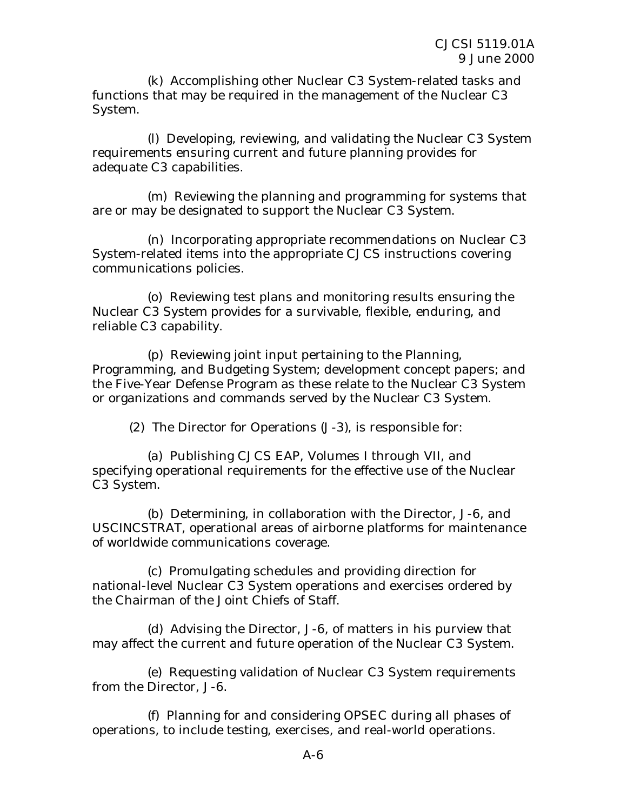(k) Accomplishing other Nuclear C3 System-related tasks and functions that may be required in the management of the Nuclear C3 System.

 (l) Developing, reviewing, and validating the Nuclear C3 System requirements ensuring current and future planning provides for adequate C3 capabilities.

 (m) Reviewing the planning and programming for systems that are or may be designated to support the Nuclear C3 System.

 (n) Incorporating appropriate recommendations on Nuclear C3 System-related items into the appropriate CJCS instructions covering communications policies.

 (o) Reviewing test plans and monitoring results ensuring the Nuclear C3 System provides for a survivable, flexible, enduring, and reliable C3 capability.

 (p) Reviewing joint input pertaining to the Planning, Programming, and Budgeting System; development concept papers; and the Five-Year Defense Program as these relate to the Nuclear C3 System or organizations and commands served by the Nuclear C3 System.

(2) The Director for Operations (J-3), is responsible for:

 (a) Publishing CJCS EAP, Volumes I through VII, and specifying operational requirements for the effective use of the Nuclear C3 System.

 (b) Determining, in collaboration with the Director, J-6, and USCINCSTRAT, operational areas of airborne platforms for maintenance of worldwide communications coverage.

 (c) Promulgating schedules and providing direction for national-level Nuclear C3 System operations and exercises ordered by the Chairman of the Joint Chiefs of Staff.

 (d) Advising the Director, J-6, of matters in his purview that may affect the current and future operation of the Nuclear C3 System.

 (e) Requesting validation of Nuclear C3 System requirements from the Director, J-6.

 (f) Planning for and considering OPSEC during all phases of operations, to include testing, exercises, and real-world operations.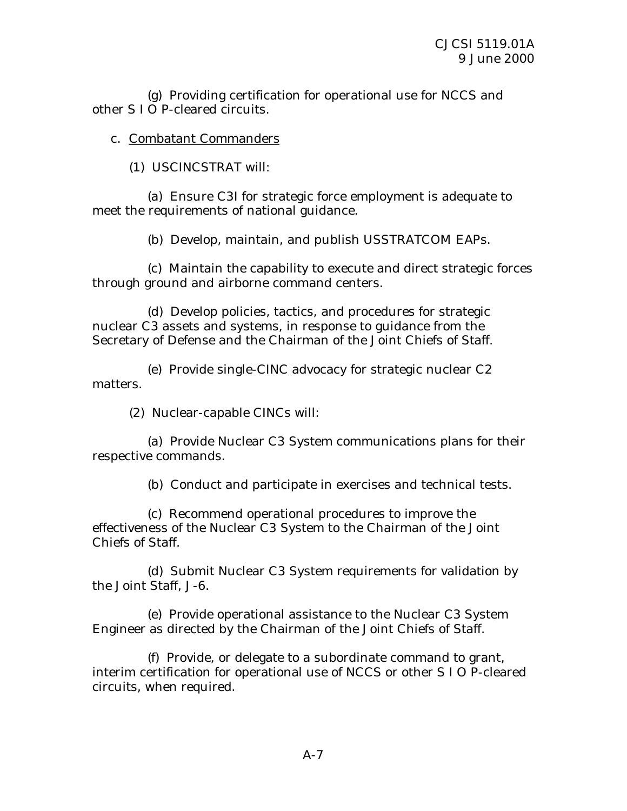(g) Providing certification for operational use for NCCS and other S I O P-cleared circuits.

c. Combatant Commanders

(1) USCINCSTRAT will:

 (a) Ensure C3I for strategic force employment is adequate to meet the requirements of national guidance.

(b) Develop, maintain, and publish USSTRATCOM EAPs.

 (c) Maintain the capability to execute and direct strategic forces through ground and airborne command centers.

 (d) Develop policies, tactics, and procedures for strategic nuclear C3 assets and systems, in response to guidance from the Secretary of Defense and the Chairman of the Joint Chiefs of Staff.

 (e) Provide single-CINC advocacy for strategic nuclear C2 matters.

(2) Nuclear-capable CINCs will:

 (a) Provide Nuclear C3 System communications plans for their respective commands.

(b) Conduct and participate in exercises and technical tests.

 (c) Recommend operational procedures to improve the effectiveness of the Nuclear C3 System to the Chairman of the Joint Chiefs of Staff.

 (d) Submit Nuclear C3 System requirements for validation by the Joint Staff, J-6.

 (e) Provide operational assistance to the Nuclear C3 System Engineer as directed by the Chairman of the Joint Chiefs of Staff.

 (f) Provide, or delegate to a subordinate command to grant, interim certification for operational use of NCCS or other S I O P-cleared circuits, when required.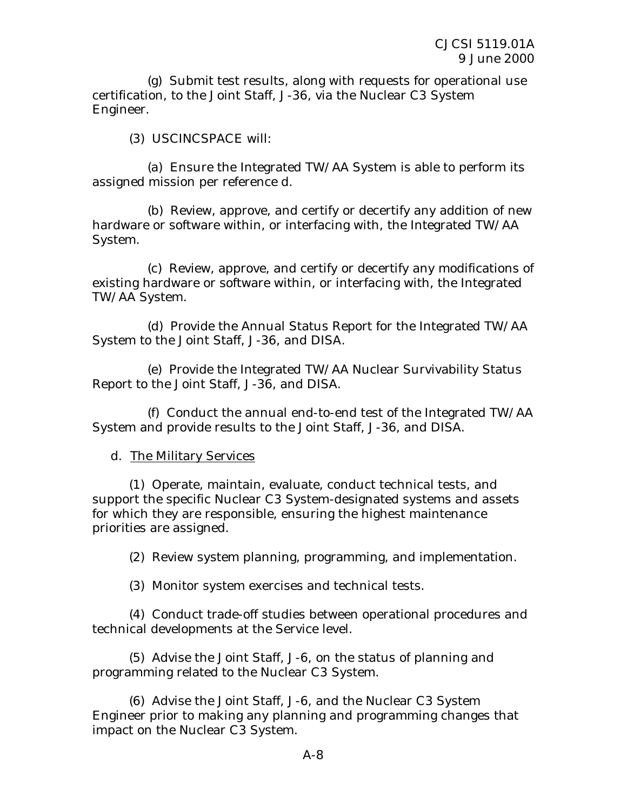(g) Submit test results, along with requests for operational use certification, to the Joint Staff, J-36, via the Nuclear C3 System Engineer.

(3) USCINCSPACE will:

 (a) Ensure the Integrated TW/AA System is able to perform its assigned mission per reference d.

 (b) Review, approve, and certify or decertify any addition of new hardware or software within, or interfacing with, the Integrated TW/AA System.

 (c) Review, approve, and certify or decertify any modifications of existing hardware or software within, or interfacing with, the Integrated TW/AA System.

 (d) Provide the Annual Status Report for the Integrated TW/AA System to the Joint Staff, J-36, and DISA.

 (e) Provide the Integrated TW/AA Nuclear Survivability Status Report to the Joint Staff, J-36, and DISA.

 (f) Conduct the annual end-to-end test of the Integrated TW/AA System and provide results to the Joint Staff, J-36, and DISA.

## d. The Military Services

 (1) Operate, maintain, evaluate, conduct technical tests, and support the specific Nuclear C3 System-designated systems and assets for which they are responsible, ensuring the highest maintenance priorities are assigned.

(2) Review system planning, programming, and implementation.

(3) Monitor system exercises and technical tests.

 (4) Conduct trade-off studies between operational procedures and technical developments at the Service level.

 (5) Advise the Joint Staff, J-6, on the status of planning and programming related to the Nuclear C3 System.

 (6) Advise the Joint Staff, J-6, and the Nuclear C3 System Engineer prior to making any planning and programming changes that impact on the Nuclear C3 System.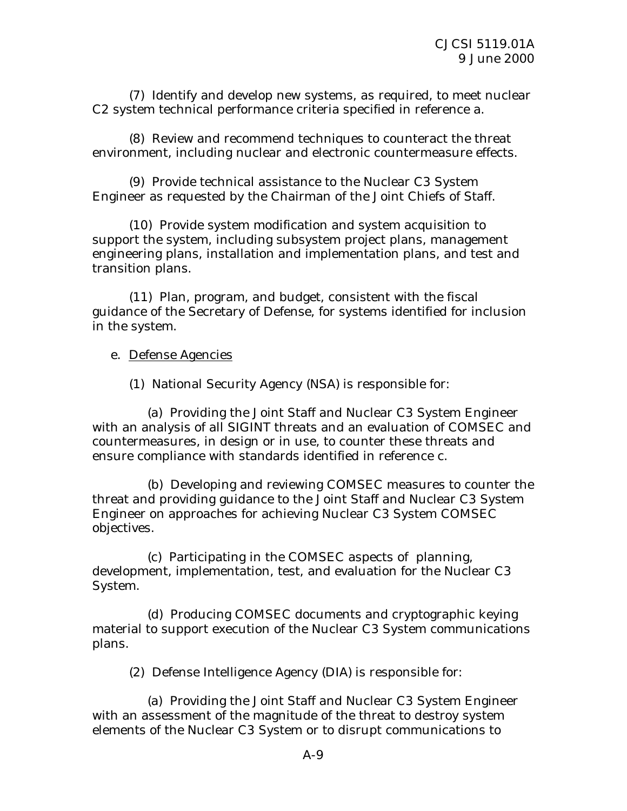(7) Identify and develop new systems, as required, to meet nuclear C2 system technical performance criteria specified in reference a.

 (8) Review and recommend techniques to counteract the threat environment, including nuclear and electronic countermeasure effects.

 (9) Provide technical assistance to the Nuclear C3 System Engineer as requested by the Chairman of the Joint Chiefs of Staff.

 (10) Provide system modification and system acquisition to support the system, including subsystem project plans, management engineering plans, installation and implementation plans, and test and transition plans.

 (11) Plan, program, and budget, consistent with the fiscal guidance of the Secretary of Defense, for systems identified for inclusion in the system.

e. Defense Agencies

(1) National Security Agency (NSA) is responsible for:

 (a) Providing the Joint Staff and Nuclear C3 System Engineer with an analysis of all SIGINT threats and an evaluation of COMSEC and countermeasures, in design or in use, to counter these threats and ensure compliance with standards identified in reference c.

 (b) Developing and reviewing COMSEC measures to counter the threat and providing guidance to the Joint Staff and Nuclear C3 System Engineer on approaches for achieving Nuclear C3 System COMSEC objectives.

 (c) Participating in the COMSEC aspects of planning, development, implementation, test, and evaluation for the Nuclear C3 System.

 (d) Producing COMSEC documents and cryptographic keying material to support execution of the Nuclear C3 System communications plans.

(2) Defense Intelligence Agency (DIA) is responsible for:

 (a) Providing the Joint Staff and Nuclear C3 System Engineer with an assessment of the magnitude of the threat to destroy system elements of the Nuclear C3 System or to disrupt communications to